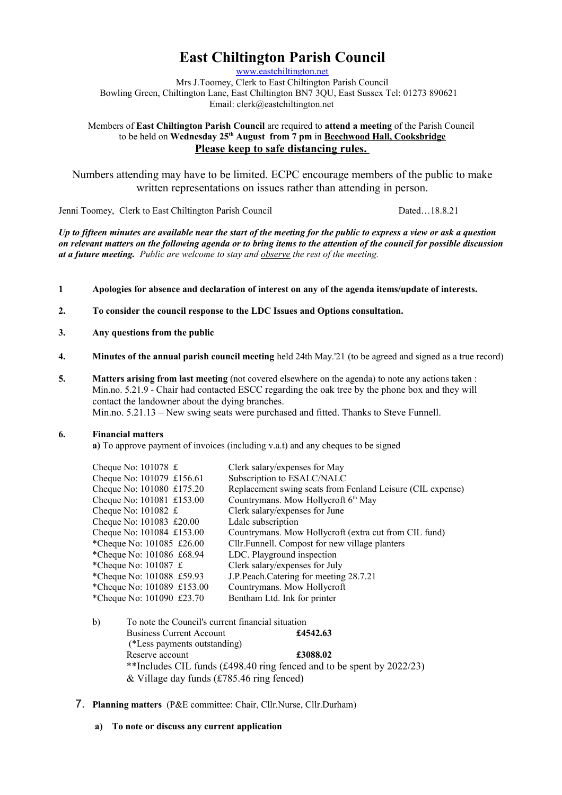# **East Chiltington Parish Council**

[www.eastchiltington.net](http://www.eastchiltington.net/)

Mrs J.Toomey, Clerk to East Chiltington Parish Council Bowling Green, Chiltington Lane, East Chiltington BN7 3QU, East Sussex Tel: 01273 890621 Email: cler[k@eastchiltington.net](mailto:jt@chiltington.wanadoo.co.uk) 

Members of **East Chiltington Parish Council** are required to **attend a meeting** of the Parish Council to be held on **Wednesday 25th August from 7 pm** in **Beechwood Hall, Cooksbridge Please keep to safe distancing rules.** 

Numbers attending may have to be limited. ECPC encourage members of the public to make written representations on issues rather than attending in person.

Jenni Toomey, Clerk to East Chiltington Parish Council Dated…18.8.21

*Up to fifteen minutes are available near the start of the meeting for the public to express a view or ask a question on relevant matters on the following agenda or to bring items to the attention of the council for possible discussion at a future meeting. Public are welcome to stay and observe the rest of the meeting.*

- **1 Apologies for absence and declaration of interest on any of the agenda items/update of interests.**
- **2. To consider the council response to the LDC Issues and Options consultation.**
- **3. Any questions from the public**
- **4. Minutes of the annual parish council meeting** held 24th May.'21 (to be agreed and signed as a true record)
- **5. Matters arising from last meeting** (not covered elsewhere on the agenda) to note any actions taken : Min.no. 5.21.9 - Chair had contacted ESCC regarding the oak tree by the phone box and they will contact the landowner about the dying branches. Min.no. 5.21.13 – New swing seats were purchased and fitted. Thanks to Steve Funnell.

### **6. Financial matters**

**a)** To approve payment of invoices (including v.a.t) and any cheques to be signed

| Clerk salary/expenses for May                              |
|------------------------------------------------------------|
| Subscription to ESALC/NALC                                 |
| Replacement swing seats from Fenland Leisure (CIL expense) |
| Countrymans. Mow Hollycroft 6th May                        |
| Clerk salary/expenses for June                             |
| Ldalc subscription                                         |
| Countrymans. Mow Hollycroft (extra cut from CIL fund)      |
| Cllr. Funnell. Compost for new village planters            |
| LDC. Playground inspection                                 |
| Clerk salary/expenses for July                             |
| J.P.Peach.Catering for meeting 28.7.21                     |
| Countrymans. Mow Hollycroft                                |
| Bentham Ltd. Ink for printer                               |
|                                                            |

- b) To note the Council's current financial situation Business Current Account **£4542.63** (\*Less payments outstanding) Reserve account **£3088.02** \*\*Includes CIL funds (£498.40 ring fenced and to be spent by 2022/23) & Village day funds (£785.46 ring fenced)
- 7. **Planning matters** (P&E committee: Chair, Cllr.Nurse, Cllr.Durham)
	- **a) To note or discuss any current application**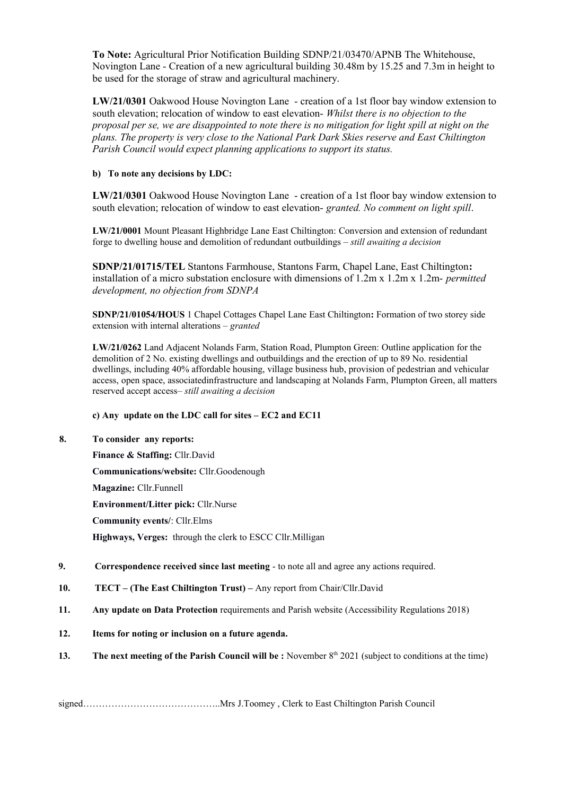**To Note:** Agricultural Prior Notification Building SDNP/21/03470/APNB The Whitehouse, Novington Lane - Creation of a new agricultural building 30.48m by 15.25 and 7.3m in height to be used for the storage of straw and agricultural machinery.

**LW/21/0301** Oakwood House Novington Lane - creation of a 1st floor bay window extension to south elevation; relocation of window to east elevation- *Whilst there is no objection to the proposal per se, we are disappointed to note there is no mitigation for light spill at night on the plans. The property is very close to the National Park Dark Skies reserve and East Chiltington Parish Council would expect planning applications to support its status.*

## **b) To note any decisions by LDC:**

**LW/21/0301** Oakwood House Novington Lane - creation of a 1st floor bay window extension to south elevation; relocation of window to east elevation- *granted. No comment on light spill*.

**LW/21/0001** Mount Pleasant Highbridge Lane East Chiltington: Conversion and extension of redundant forge to dwelling house and demolition of redundant outbuildings *– still awaiting a decision*

**SDNP/21/01715/TEL** Stantons Farmhouse, Stantons Farm, Chapel Lane, East Chiltington**:**  installation of a micro substation enclosure with dimensions of 1.2m x 1.2m x 1.2m- *permitted development, no objection from SDNPA*

**SDNP/21/01054/HOUS** 1 Chapel Cottages Chapel Lane East Chiltington**:** Formation of two storey side extension with internal alterations – *granted*

**LW/21/0262** Land Adjacent Nolands Farm, Station Road, Plumpton Green: Outline application for the demolition of 2 No. existing dwellings and outbuildings and the erection of up to 89 No. residential dwellings, including 40% affordable housing, village business hub, provision of pedestrian and vehicular access, open space, associatedinfrastructure and landscaping at Nolands Farm, Plumpton Green, all matters reserved accept access*– still awaiting a decision*

### **c) Any update on the LDC call for sites – EC2 and EC11**

## **8. To consider any reports:**

**Finance & Staffing:** Cllr.David **Communications/website:** Cllr.Goodenough **Magazine:** Cllr.Funnell **Environment/Litter pick:** Cllr.Nurse **Community events/**: Cllr.Elms **Highways, Verges:** through the clerk to ESCC Cllr.Milligan

- **9. Correspondence received since last meeting**  to note all and agree any actions required.
- **10. TECT (The East Chiltington Trust) –** Any report from Chair/Cllr.David
- **11. Any update on Data Protection** requirements and Parish website (Accessibility Regulations 2018)
- **12. Items for noting or inclusion on a future agenda.**
- **13. The next meeting of the Parish Council will be :** November 8<sup>th</sup> 2021 (subject to conditions at the time)

signed……………………………………..Mrs J.Toomey , Clerk to East Chiltington Parish Council